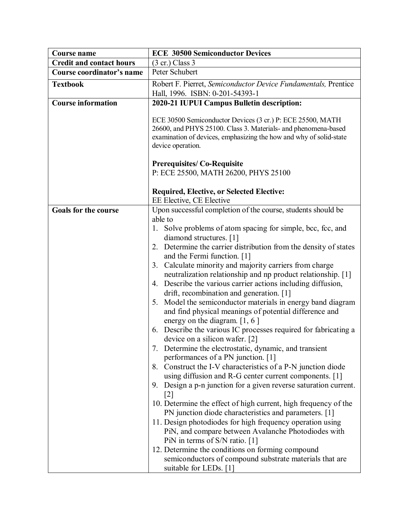| <b>Course name</b>              | <b>ECE 30500 Semiconductor Devices</b>                                                                                                                                                                                                                                                                                                                                                                                                                                                                                                                                                                                                                                                                                                                                                                                                                                                                                                                                                                                                                                                                                                                                                                                                                                                                                                                                                                                                               |
|---------------------------------|------------------------------------------------------------------------------------------------------------------------------------------------------------------------------------------------------------------------------------------------------------------------------------------------------------------------------------------------------------------------------------------------------------------------------------------------------------------------------------------------------------------------------------------------------------------------------------------------------------------------------------------------------------------------------------------------------------------------------------------------------------------------------------------------------------------------------------------------------------------------------------------------------------------------------------------------------------------------------------------------------------------------------------------------------------------------------------------------------------------------------------------------------------------------------------------------------------------------------------------------------------------------------------------------------------------------------------------------------------------------------------------------------------------------------------------------------|
| <b>Credit and contact hours</b> | $(3 \text{ cr.})$ Class 3                                                                                                                                                                                                                                                                                                                                                                                                                                                                                                                                                                                                                                                                                                                                                                                                                                                                                                                                                                                                                                                                                                                                                                                                                                                                                                                                                                                                                            |
| Course coordinator's name       | Peter Schubert                                                                                                                                                                                                                                                                                                                                                                                                                                                                                                                                                                                                                                                                                                                                                                                                                                                                                                                                                                                                                                                                                                                                                                                                                                                                                                                                                                                                                                       |
| <b>Textbook</b>                 | Robert F. Pierret, Semiconductor Device Fundamentals, Prentice                                                                                                                                                                                                                                                                                                                                                                                                                                                                                                                                                                                                                                                                                                                                                                                                                                                                                                                                                                                                                                                                                                                                                                                                                                                                                                                                                                                       |
|                                 | Hall, 1996. ISBN: 0-201-54393-1                                                                                                                                                                                                                                                                                                                                                                                                                                                                                                                                                                                                                                                                                                                                                                                                                                                                                                                                                                                                                                                                                                                                                                                                                                                                                                                                                                                                                      |
| <b>Course information</b>       | 2020-21 IUPUI Campus Bulletin description:                                                                                                                                                                                                                                                                                                                                                                                                                                                                                                                                                                                                                                                                                                                                                                                                                                                                                                                                                                                                                                                                                                                                                                                                                                                                                                                                                                                                           |
|                                 | ECE 30500 Semiconductor Devices (3 cr.) P: ECE 25500, MATH<br>26600, and PHYS 25100. Class 3. Materials- and phenomena-based<br>examination of devices, emphasizing the how and why of solid-state<br>device operation.<br><b>Prerequisites/Co-Requisite</b>                                                                                                                                                                                                                                                                                                                                                                                                                                                                                                                                                                                                                                                                                                                                                                                                                                                                                                                                                                                                                                                                                                                                                                                         |
|                                 | P: ECE 25500, MATH 26200, PHYS 25100                                                                                                                                                                                                                                                                                                                                                                                                                                                                                                                                                                                                                                                                                                                                                                                                                                                                                                                                                                                                                                                                                                                                                                                                                                                                                                                                                                                                                 |
|                                 | <b>Required, Elective, or Selected Elective:</b><br>EE Elective, CE Elective                                                                                                                                                                                                                                                                                                                                                                                                                                                                                                                                                                                                                                                                                                                                                                                                                                                                                                                                                                                                                                                                                                                                                                                                                                                                                                                                                                         |
| <b>Goals for the course</b>     | Upon successful completion of the course, students should be                                                                                                                                                                                                                                                                                                                                                                                                                                                                                                                                                                                                                                                                                                                                                                                                                                                                                                                                                                                                                                                                                                                                                                                                                                                                                                                                                                                         |
|                                 | able to<br>Solve problems of atom spacing for simple, bcc, fcc, and<br>1.<br>diamond structures. [1]<br>2. Determine the carrier distribution from the density of states<br>and the Fermi function. [1]<br>3. Calculate minority and majority carriers from charge<br>neutralization relationship and np product relationship. [1]<br>Describe the various carrier actions including diffusion,<br>4.<br>drift, recombination and generation. [1]<br>5. Model the semiconductor materials in energy band diagram<br>and find physical meanings of potential difference and<br>energy on the diagram. $[1, 6]$<br>6. Describe the various IC processes required for fabricating a<br>device on a silicon wafer. [2]<br>7. Determine the electrostatic, dynamic, and transient<br>performances of a PN junction. [1]<br>8. Construct the I-V characteristics of a P-N junction diode<br>using diffusion and R-G center current components. [1]<br>9. Design a p-n junction for a given reverse saturation current.<br>$[2]$<br>10. Determine the effect of high current, high frequency of the<br>PN junction diode characteristics and parameters. [1]<br>11. Design photodiodes for high frequency operation using<br>PiN, and compare between Avalanche Photodiodes with<br>PiN in terms of S/N ratio. [1]<br>12. Determine the conditions on forming compound<br>semiconductors of compound substrate materials that are<br>suitable for LEDs. [1] |